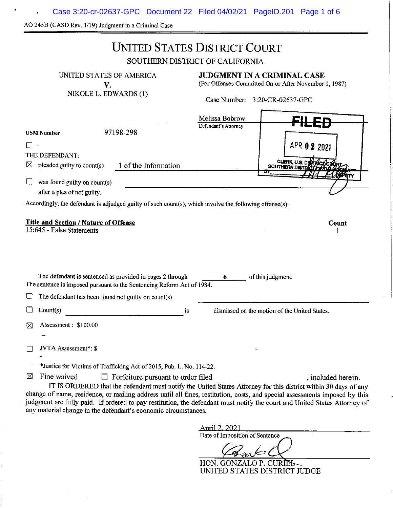Case 3:20-cr-02637-GPC Document 22 Filed 04/02/21 PageID.201 Page 1 of 6 $\bar{\pmb{r}}$ 

AO 245B (CASD Rev. 1/19) Judgment in a Criminal Case

 $\mathcal{A}^{\mathcal{A}}$ 

 $\pmb{\mathbf{r}}$ 

|                                                                                                                                                                                                         | <b>UNITED STATES DISTRICT COURT</b><br>SOUTHERN DISTRICT OF CALIFORNIA                                                                                                                                                                                                                                                                                                                           |  |
|---------------------------------------------------------------------------------------------------------------------------------------------------------------------------------------------------------|--------------------------------------------------------------------------------------------------------------------------------------------------------------------------------------------------------------------------------------------------------------------------------------------------------------------------------------------------------------------------------------------------|--|
| UNITED STATES OF AMERICA<br>V.<br>NIKOLE L. EDWARDS (1)                                                                                                                                                 | JUDGMENT IN A CRIMINAL CASE<br>(For Offenses Committed On or After November 1, 1987)<br>Case Number: 3:20-CR-02637-GPC                                                                                                                                                                                                                                                                           |  |
| 97198-298<br><b>USM Number</b><br>THE DEFENDANT:<br>1 of the Information<br>pleaded guilty to count(s)<br>⊠                                                                                             | Melissa Bobrow<br>Defendant's Attorney<br>APR 0 2 2021<br>CLERK, U.S.<br><b>SOUTHERN DIST!</b>                                                                                                                                                                                                                                                                                                   |  |
| was found guilty on count(s)<br>after a plea of not guilty.<br>Accordingly, the defendant is adjudged guilty of such count(s), which involve the following offense(s):                                  |                                                                                                                                                                                                                                                                                                                                                                                                  |  |
| <b>Title and Section / Nature of Offense</b><br>Count<br>15:645 - False Statements                                                                                                                      |                                                                                                                                                                                                                                                                                                                                                                                                  |  |
| The defendant is sentenced as provided in pages 2 through<br>The sentence is imposed pursuant to the Sentencing Reform Act of 1984.                                                                     | of this judgment.<br>6.                                                                                                                                                                                                                                                                                                                                                                          |  |
| The defendant has been found not guilty on count(s)                                                                                                                                                     |                                                                                                                                                                                                                                                                                                                                                                                                  |  |
| Count(s)<br>is                                                                                                                                                                                          | dismissed on the motion of the United States.                                                                                                                                                                                                                                                                                                                                                    |  |
| Assessment: \$100.00<br>⋈                                                                                                                                                                               |                                                                                                                                                                                                                                                                                                                                                                                                  |  |
| JVTA Assessment*: \$                                                                                                                                                                                    | v,                                                                                                                                                                                                                                                                                                                                                                                               |  |
| *Justice for Victims of Trafficking Act of 2015, Pub. L. No. 114-22.<br>Fine waived<br>⊠<br>$\Box$ Forfeiture pursuant to order filed<br>any material change in the defendant's economic circumstances. | , included herein.<br>IT IS ORDERED that the defendant must notify the United States Attorney for this district within 30 days of any<br>change of name, residence, or mailing address until all fines, restitution, costs, and special assessments imposed by this<br>judgment are fully paid. If ordered to pay restitution, the defendant must notify the court and United States Attorney of |  |
|                                                                                                                                                                                                         | April 2, 2021<br>Date of Imposition of Sentence<br>Casabor <sup>1</sup>                                                                                                                                                                                                                                                                                                                          |  |

HON. GONZALO P. CURIEL UNITED STATES DISTRICT JUDGE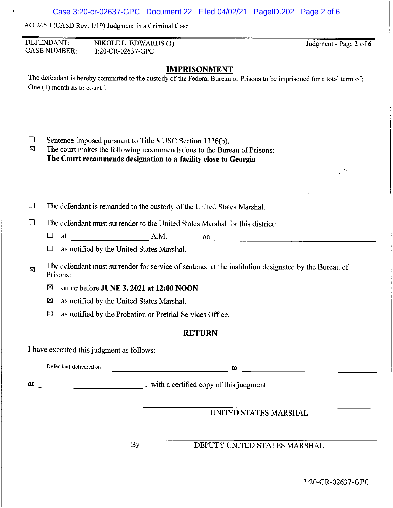AO 245B (CASO Rev. 1/19) Judgment in a Criminal Case

DEFENDANT: NIKOLE L. EDWARDS (1) Judgment - Page **2** of **6**  CASE NUMBER: 3 :20-CR-0263 7-GPC **IMPRISONMENT**  The defendant is hereby committed to the custody of the Federal Bureau of Prisons to be imprisoned for a total term of: One (1) month as to count 1 □ Sentence imposed pursuant to Title 8 USC Section 1326(b).<br>  $□$  The court makes the following recommendations to the Bure The court makes the following recommendations to the Bureau of Prisons: **The Court recommends designation to a facility close to Georgia**   $\Box$  The defendant is remanded to the custody of the United States Marshal.  $\Box$  The defendant must surrender to the United States Marshal for this district: • at \_\_\_\_\_\_\_\_ A.M. on \_\_\_\_\_\_\_\_\_\_\_\_\_\_\_\_\_\_ \_  $\Box$  as notified by the United States Marshal. The defendant must surrender for service of sentence at the institution designated by the Bureau of X Prisons: IZl on or before **JUNE 3, 2021 at 12:00 NOON**   $\boxtimes$  as notified by the United States Marshal.  $\boxtimes$  as notified by the Probation or Pretrial Services Office. **RETURN**  I have executed this judgment as follows: Defendant delivered on **the contract of the contract of the contract of the contract of the contract of the contract of the contract of the contract of the contract of the contract of the contract of the contract of the co** at \_\_\_\_\_\_\_\_\_\_\_\_ , with a certified copy of this judgment. UNITED STATES MARSHAL By DEPUTY UNITED STATES MARSHAL

3:20-CR-02637-GPC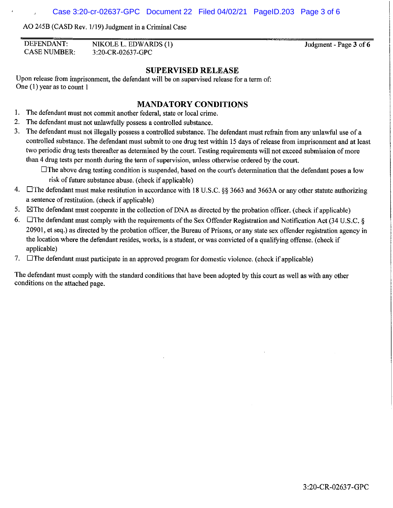AO 245B (CASD Rev. 1/19) Judgment in a Criminal Case

| DEFENDANT:          | NIKOLE L. EDWARDS (1) |
|---------------------|-----------------------|
| <b>CASE NUMBER:</b> | 3:20-CR-02637-GPC     |

Judgment - Page **3** of **6** 

#### **SUPERVISED RELEASE**

Upon release from imprisonment, the defendant will be on supervised release for a term of: One (1) year as to count 1

## **MANDATORY CONDITIONS**

- 1. The defendant must not commit another federal, state or local crime.
- 2. The defendant must not unlawfully possess a controlled substance.
- 3. The defendant must not illegally possess a controlled substance. The defendant must refrain from any unlawful use of a controlled substance. The defendant must submit to one drug test within 15 days of release from imprisonment and at least two periodic drug tests thereafter as determined by the court. Testing requirements will not exceed submission of more than 4 drug tests per month during the term of supervision, unless otherwise ordered by the court.

 $\Box$  The above drug testing condition is suspended, based on the court's determination that the defendant poses a low risk of future substance abuse. ( check if applicable)

- 4.  $\Box$  The defendant must make restitution in accordance with 18 U.S.C. §§ 3663 and 3663A or any other statute authorizing a sentence of restitution. ( check if applicable)
- 5.  $\boxtimes$ The defendant must cooperate in the collection of DNA as directed by the probation officer. (check if applicable)
- 6. The defendant must comply with the requirements of the Sex Offender Registration and Notification Act (34 U.S.C.  $\S$ 20901, et seq.) as directed by the probation officer, the Bureau of Prisons, or any state sex offender registration agency in the location where the defendant resides, works, is a student, or was convicted of a qualifying offense. ( check if applicable)
- 7.  $\Box$ The defendant must participate in an approved program for domestic violence. (check if applicable)

The defendant must comply with the standard conditions that have been adopted by this court as well as with any other conditions on the attached page.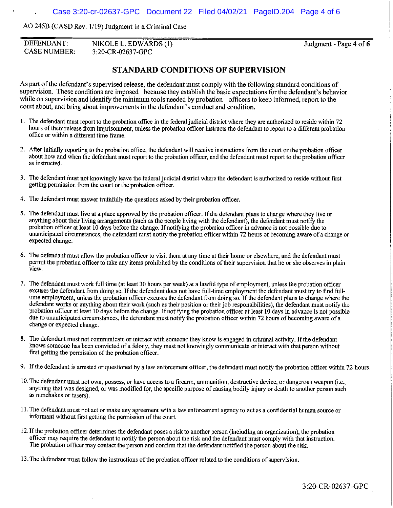AO 245B (CASD Rev. 1/19) Judgment in a Criminal Case

| DEFENDANT:          | NIKOLE L. EDWARDS (1) |
|---------------------|-----------------------|
| <b>CASE NUMBER:</b> | 3:20-CR-02637-GPC     |

Judgment - Page **4** of **6** 

### **STANDARD CONDITIONS OF SUPERVISION**

As part of the defendant's supervised release, the defendant must comply with the following standard conditions of supervision. These conditions are imposed because they establish the basic expectations for the defendant's behavior while on supervision and identify the minimum tools needed by probation officers to keep informed, report to the court about, and bring about improvements in the defendant's conduct and condition.

- I. The defendant must report to the probation office in the federal judicial district where they are authorized to reside within 72 hours of their release from imprisonment, unless the probation officer instructs the defendant to report to a different probation office or within a different time frame.
- 2. After initially reporting to the probation office, the defendant will receive instructions from the court or the probation officer about how and when the defendant must report to the probation officer, and the defendant must report to the probation officer as instructed.
- 3. The defendant must not knowingly leave the federal judicial district where the defendant is authorized to reside without first getting permission from the court or the probation officer.
- 4. The defendant must answer truthfully the questions asked by their probation officer.
- 5. The defendant must live at a place approved by the probation officer. If the defendant plans to change where they live or anything about their living arrangements (such as the people living with the defendant), the defendant must notify the probation officer at least 10 days before the change. If notifying the probation officer in advance is not possible due to unanticipated circumstances, the defendant must notify the probation officer within 72 hours of becoming aware ofa change or expected change.
- 6. The defendant must allow the probation officer to visit them at any time at their home or elsewhere, and the defendant must permit the probation officer to take any items prohibited by the conditions of their supervision that he or she observes in plain **view.**
- 7. The defendant must work full time (at least 30 hours per week) at a lawful type of employment, unless the probation officer excuses the defendant from doing so. If the defendant does not have full-time employment the defendant must try to find fulltime employment, unless the probation officer excuses the defendant from doing so. If the defendant plans to change where the defendant works or anything about their work (such as their position or their job responsibilities), the defendant must notify the probation officer at least IO days before the change. If notifying the probation officer at least IO days in advance is not possible due to unanticipated circumstances, the defendant must notify the probation officer within 72 hours of becoming aware of a change or expected change.
- 8. The defendant must not communicate or interact with someone they know is engaged in criminal activity. If the defendant knows someone has been convicted ofa felony, they must not knowingly communicate or interact with that person without first getting the permission of the probation officer.
- 9. If the defendant is arrested or questioned by a law enforcement officer, the defendant must notify the probation officer within 72 hours.
- 10. The defendant must not own, possess, or have access to a firearm, ammunition, destructive device, or dangerous weapon (i.e., anything that was designed, or was modified for, the specific purpose of causing bodily injury or death to another person such as nunchakus or tasers).
- 11. The defendant must not act or make any agreement with a law enforcement agency to act as a confidential human source or informant without first getting the permission of the court.
- 12. If the probation officer determines the defendant poses a risk to another person (including an organization), the probation officer may require the defendant to notify the person about the risk and the defendant must comply with that instruction. The probation officer may contact the person and confirm that the defendant notified the person about the risk.
- 13. The defendant must follow the instructions of the probation officer related to the conditions of supervision.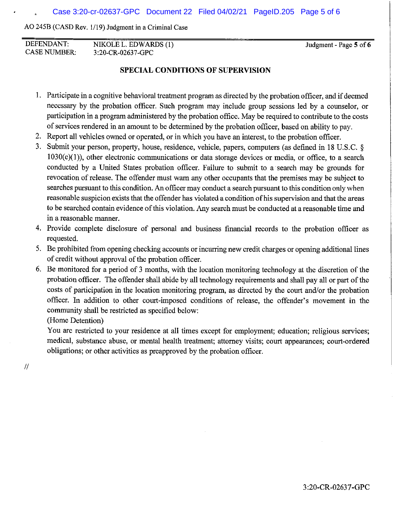AO 245B (CASO Rev. 1/19) Judgment in a Criminal Case

DEFENDANT: NIKOLEL. EDWARDS (1) 3 :20-CR-0263 7-GPC CASE NUMBER:

Judgment - Page **5** of **6** 

#### **SPECIAL CONDITIONS OF SUPERVISION**

- I. Participate in a cognitive behavioral treatment program as directed by the probation officer, and if deemed necessary by the probation officer. Such program may include group sessions led by a counselor, or participation in a program administered by the probation office. May be required to contribute to the costs of services rendered in an amount to be determined by the probation officer, based on ability to pay.
- 2. Report all vehicles owned or operated, or in which you have an interest, to the probation officer.
- 3. Submit your person, property, house, residence, vehicle, papers, computers (as defined in 18 U.S.C. § 1030(e)(l)), other electronic communications or data storage devices or media, or office, to a search conducted by a United States probation officer. Failure to submit to a search may be grounds for revocation of release. The offender must warn any other occupants that the premises may be subject to searches pursuant to this condition. An officer may conduct a search pursuant to this condition only when reasonable suspicion exists that the offender has violated a condition of his supervision and that the areas to be searched contain evidence of this violation. Any search must be conducted at a reasonable time and in a reasonable manner.
- 4. Provide complete disclosure of personal and business financial records to the probation officer as requested.
- 5. Be prohibited from opening checking accounts or incurring new credit charges or opening additional lines of credit without approval of the probation officer.
- 6. Be monitored for a period of 3 months, with the location monitoring technology at the discretion of the probation officer. The offender shall abide by all technology requirements and shall pay all or part of the costs of participation in the location monitoring program, as directed by the court and/or the probation officer. In addition to other court-imposed conditions of release, the offender's movement in the community shall be restricted as specified below:

(Home Detention)

You are restricted to your residence at all times except for employment; education; religious services; medical, substance abuse, or mental health treatment; attorney visits; court appearances; court-ordered obligations; or other activities as preapproved by the probation officer.

 $\mathcal{U}$